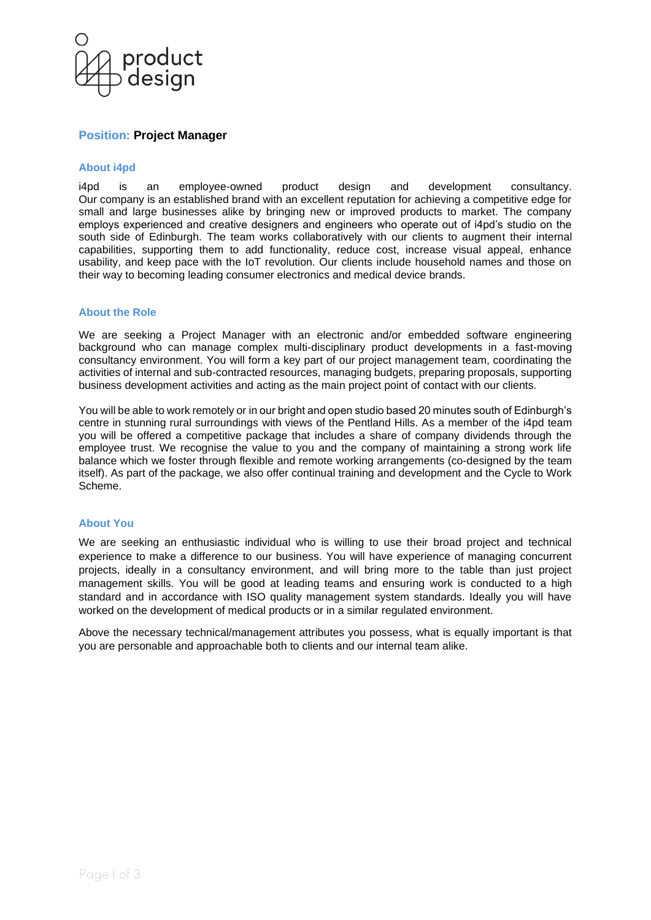

# **Position: Project Manager**

### **About i4pd**

i4pd is an employee-owned product design and development consultancy. Our company is an established brand with an excellent reputation for achieving a competitive edge for small and large businesses alike by bringing new or improved products to market. The company employs experienced and creative designers and engineers who operate out of i4pd's studio on the south side of Edinburgh. The team works collaboratively with our clients to augment their internal capabilities, supporting them to add functionality, reduce cost, increase visual appeal, enhance usability, and keep pace with the IoT revolution. Our clients include household names and those on their way to becoming leading consumer electronics and medical device brands.

#### **About the Role**

We are seeking a Project Manager with an electronic and/or embedded software engineering background who can manage complex multi-disciplinary product developments in a fast-moving consultancy environment. You will form a key part of our project management team, coordinating the activities of internal and sub-contracted resources, managing budgets, preparing proposals, supporting business development activities and acting as the main project point of contact with our clients.

You will be able to work remotely or in our bright and open studio based 20 minutes south of Edinburgh's centre in stunning rural surroundings with views of the Pentland Hills. As a member of the i4pd team you will be offered a competitive package that includes a share of company dividends through the employee trust. We recognise the value to you and the company of maintaining a strong work life balance which we foster through flexible and remote working arrangements (co-designed by the team itself). As part of the package, we also offer continual training and development and the Cycle to Work Scheme.

#### **About You**

We are seeking an enthusiastic individual who is willing to use their broad project and technical experience to make a difference to our business. You will have experience of managing concurrent projects, ideally in a consultancy environment, and will bring more to the table than just project management skills. You will be good at leading teams and ensuring work is conducted to a high standard and in accordance with ISO quality management system standards. Ideally you will have worked on the development of medical products or in a similar regulated environment.

Above the necessary technical/management attributes you possess, what is equally important is that you are personable and approachable both to clients and our internal team alike.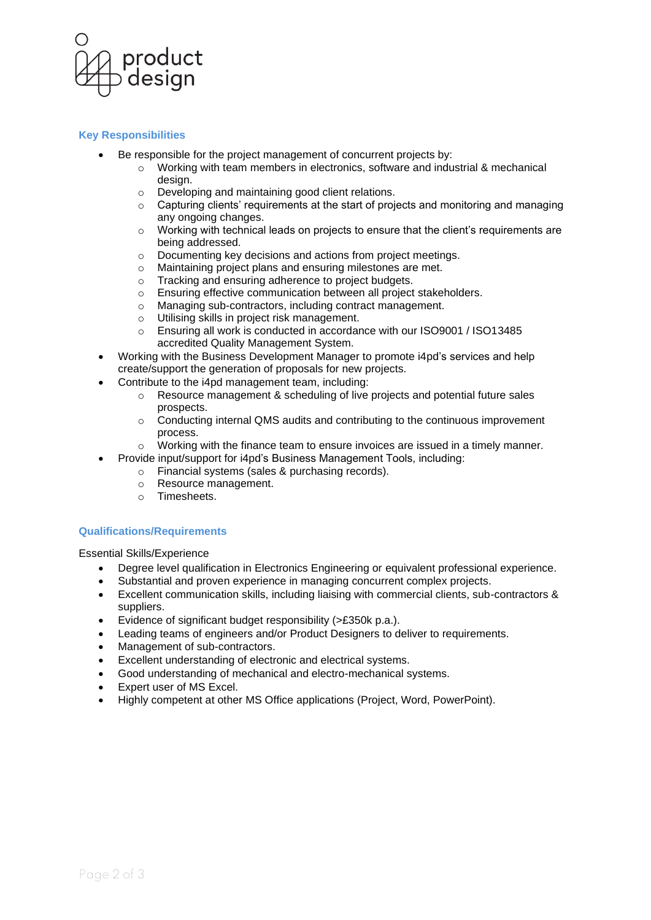

## **Key Responsibilities**

- Be responsible for the project management of concurrent projects by:
	- o Working with team members in electronics, software and industrial & mechanical design.
	- o Developing and maintaining good client relations.
	- $\circ$  Capturing clients' requirements at the start of projects and monitoring and managing any ongoing changes.
	- $\circ$  Working with technical leads on projects to ensure that the client's requirements are being addressed.
	- o Documenting key decisions and actions from project meetings.
	- o Maintaining project plans and ensuring milestones are met.
	- o Tracking and ensuring adherence to project budgets.
	- o Ensuring effective communication between all project stakeholders.
	- Managing sub-contractors, including contract management.
	- Utilising skills in project risk management.
	- o Ensuring all work is conducted in accordance with our ISO9001 / ISO13485 accredited Quality Management System.
- Working with the Business Development Manager to promote i4pd's services and help create/support the generation of proposals for new projects.
- Contribute to the i4pd management team, including:
	- $\circ$  Resource management & scheduling of live projects and potential future sales prospects.
	- $\circ$  Conducting internal QMS audits and contributing to the continuous improvement process.
	- $\circ$  Working with the finance team to ensure invoices are issued in a timely manner.
	- Provide input/support for i4pd's Business Management Tools, including:
		- o Financial systems (sales & purchasing records).
		- o Resource management.
		- o Timesheets.

## **Qualifications/Requirements**

Essential Skills/Experience

- Degree level qualification in Electronics Engineering or equivalent professional experience.
- Substantial and proven experience in managing concurrent complex projects.
- Excellent communication skills, including liaising with commercial clients, sub-contractors & suppliers.
- Evidence of significant budget responsibility (>£350k p.a.).
- Leading teams of engineers and/or Product Designers to deliver to requirements.
- Management of sub-contractors.
- Excellent understanding of electronic and electrical systems.
- Good understanding of mechanical and electro-mechanical systems.
- Expert user of MS Excel.
- Highly competent at other MS Office applications (Project, Word, PowerPoint).